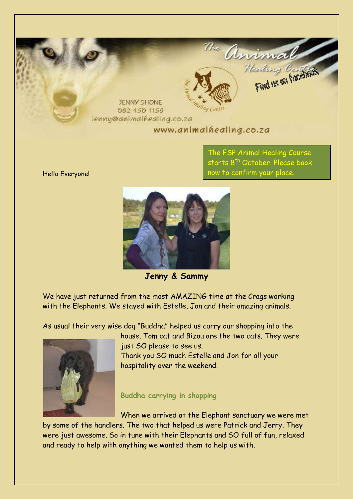

The ESP Animal Healing Course starts 8<sup>th</sup> October. Please book now to confirm your place.

**Jenny & Sammy** 

We have just returned from the most AMAZING time at the Crags working with the Elephants. We stayed with Estelle, Jon and their amazing animals.

As usual their very wise dog "Buddha" helped us carry our shopping into the



house. Tom cat and Bizou are the two cats. They were just SO please to see us. Thank you SO much Estelle and Jon for all your hospitality over the weekend.

#### **Buddha carrying in shopping**

When we arrived at the Elephant sanctuary we were met by some of the handlers. The two that helped us were Patrick and Jerry. They were just awesome. So in tune with their Elephants and SO full of fun, relaxed and ready to help with anything we wanted them to help us with.

Hello Everyone!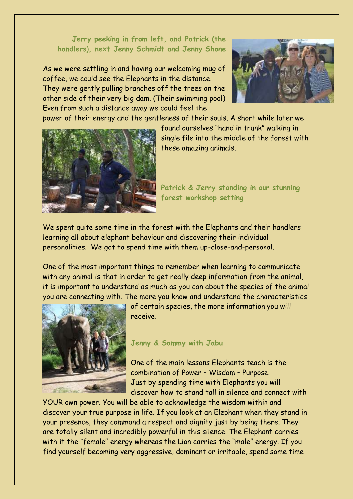#### **Jerry peeking in from left, and Patrick (the handlers), next Jenny Schmidt and Jenny Shone**

As we were settling in and having our welcoming mug of coffee, we could see the Elephants in the distance. They were gently pulling branches off the trees on the other side of their very big dam. (Their swimming pool) Even from such a distance away we could feel the



power of their energy and the gentleness of their souls. A short while later we



found ourselves "hand in trunk" walking in single file into the middle of the forest with these amazing animals.

**Patrick & Jerry standing in our stunning forest workshop setting**

We spent quite some time in the forest with the Elephants and their handlers learning all about elephant behaviour and discovering their individual personalities. We got to spend time with them up-close-and-personal.

One of the most important things to remember when learning to communicate with any animal is that in order to get really deep information from the animal, it is important to understand as much as you can about the species of the animal you are connecting with. The more you know and understand the characteristics



of certain species, the more information you will receive.

#### **Jenny & Sammy with Jabu**

One of the main lessons Elephants teach is the combination of Power – Wisdom – Purpose. Just by spending time with Elephants you will discover how to stand tall in silence and connect with

YOUR own power. You will be able to acknowledge the wisdom within and discover your true purpose in life. If you look at an Elephant when they stand in your presence, they command a respect and dignity just by being there. They are totally silent and incredibly powerful in this silence. The Elephant carries with it the "female" energy whereas the Lion carries the "male" energy. If you find yourself becoming very aggressive, dominant or irritable, spend some time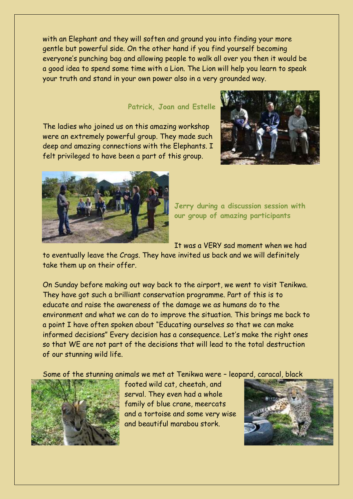with an Elephant and they will soften and ground you into finding your more gentle but powerful side. On the other hand if you find yourself becoming everyone's punching bag and allowing people to walk all over you then it would be a good idea to spend some time with a Lion. The Lion will help you learn to speak your truth and stand in your own power also in a very grounded way.

#### **Patrick, Joan and Estelle**

The ladies who joined us on this amazing workshop were an extremely powerful group. They made such deep and amazing connections with the Elephants. I felt privileged to have been a part of this group.





**Jerry during a discussion session with our group of amazing participants**

It was a VERY sad moment when we had

to eventually leave the Crags. They have invited us back and we will definitely take them up on their offer.

On Sunday before making out way back to the airport, we went to visit Tenikwa. They have got such a brilliant conservation programme. Part of this is to educate and raise the awareness of the damage we as humans do to the environment and what we can do to improve the situation. This brings me back to a point I have often spoken about "Educating ourselves so that we can make informed decisions" Every decision has a consequence. Let's make the right ones so that WE are not part of the decisions that will lead to the total destruction of our stunning wild life.

Some of the stunning animals we met at Tenikwa were – leopard, caracal, black



footed wild cat, cheetah, and serval. They even had a whole family of blue crane, meercats and a tortoise and some very wise and beautiful marabou stork.

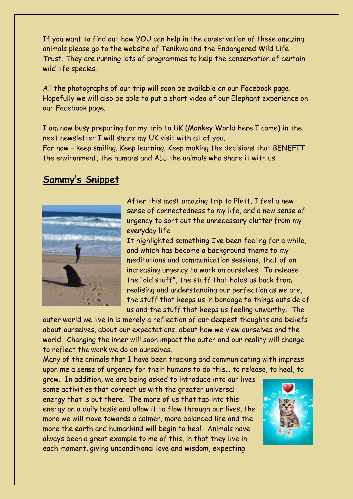If you want to find out how YOU can help in the conservation of these amazing animals please go to the website of Tenikwa and the Endangered Wild Life Trust. They are running lots of programmes to help the conservation of certain wild life species.

All the photographs of our trip will soon be available on our Facebook page. Hopefully we will also be able to put a short video of our Elephant experience on our Facebook page.

I am now busy preparing for my trip to UK (Monkey World here I come) in the next newsletter I will share my UK visit with all of you.

For now – keep smiling. Keep learning. Keep making the decisions that BENEFIT the environment, the humans and ALL the animals who share it with us.

### **Sammy's Snippet**



After this most amazing trip to Plett, I feel a new sense of connectedness to my life, and a new sense of urgency to sort out the unnecessary clutter from my everyday life.

It highlighted something I've been feeling for a while, and which has become a background theme to my meditations and communication sessions, that of an increasing urgency to work on ourselves. To release the "old stuff", the stuff that holds us back from realising and understanding our perfection as we are, the stuff that keeps us in bondage to things outside of us and the stuff that keeps us feeling unworthy. The

outer world we live in is merely a reflection of our deepest thoughts and beliefs about ourselves, about our expectations, about how we view ourselves and the world. Changing the inner will soon impact the outer and our reality will change to reflect the work we do on ourselves.

Many of the animals that I have been tracking and communicating with impress upon me a sense of urgency for their humans to do this… to release, to heal, to

grow. In addition, we are being asked to introduce into our lives some activities that connect us with the greater universal energy that is out there. The more of us that tap into this energy on a daily basis and allow it to flow through our lives, the more we will move towards a calmer, more balanced life and the more the earth and humankind will begin to heal. Animals have always been a great example to me of this, in that they live in each moment, giving unconditional love and wisdom, expecting

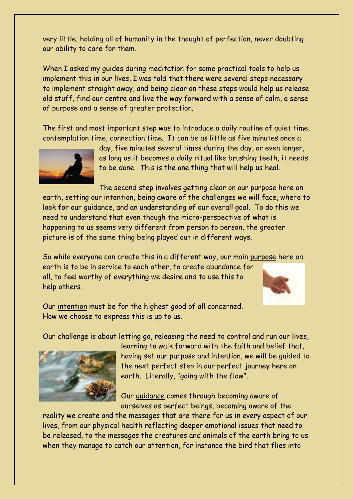very little, holding all of humanity in the thought of perfection, never doubting our ability to care for them.

When I asked my quides during meditation for some practical tools to help us implement this in our lives, I was told that there were several steps necessary to implement straight away, and being clear on these steps would help us release old stuff, find our centre and live the way forward with a sense of calm, a sense of purpose and a sense of greater protection.

The first and most important step was to introduce a daily routine of quiet time, contemplation time, connection time. It can be as little as five minutes once a



day, five minutes several times during the day, or even longer, as long as it becomes a daily ritual like brushing teeth, it needs to be done. This is the one thing that will help us heal.

The second step involves getting clear on our purpose here on earth, setting our intention, being aware of the challenges we will face, where to look for our guidance, and an understanding of our overall goal. To do this we need to understand that even though the micro-perspective of what is happening to us seems very different from person to person, the greater picture is of the same thing being played out in different ways.

So while everyone can create this in a different way, our main purpose here on earth is to be in service to each other, to create abundance for all, to feel worthy of everything we desire and to use this to help others.



Our intention must be for the highest good of all concerned. How we choose to express this is up to us.

Our challenge is about letting go, releasing the need to control and run our lives,



learning to walk forward with the faith and belief that, having set our purpose and intention, we will be guided to the next perfect step in our perfect journey here on earth. Literally, "going with the flow".

Our guidance comes through becoming aware of ourselves as perfect beings, becoming aware of the

reality we create and the messages that are there for us in every aspect of our lives, from our physical health reflecting deeper emotional issues that need to be released, to the messages the creatures and animals of the earth bring to us when they manage to catch our attention, for instance the bird that flies into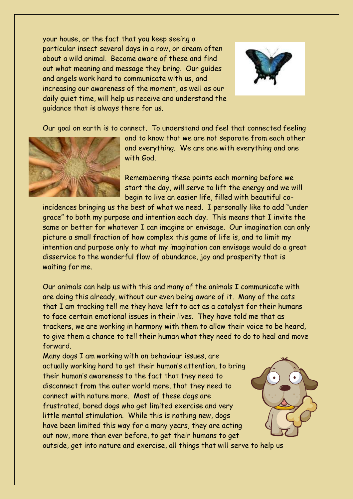your house, or the fact that you keep seeing a particular insect several days in a row, or dream often about a wild animal. Become aware of these and find out what meaning and message they bring. Our guides and angels work hard to communicate with us, and increasing our awareness of the moment, as well as our daily quiet time, will help us receive and understand the guidance that is always there for us.



Our goal on earth is to connect. To understand and feel that connected feeling



and to know that we are not separate from each other and everything. We are one with everything and one with God.

Remembering these points each morning before we start the day, will serve to lift the energy and we will begin to live an easier life, filled with beautiful co-

incidences bringing us the best of what we need. I personally like to add "under grace" to both my purpose and intention each day. This means that I invite the same or better for whatever I can imagine or envisage. Our imagination can only picture a small fraction of how complex this game of life is, and to limit my intention and purpose only to what my imagination can envisage would do a great disservice to the wonderful flow of abundance, joy and prosperity that is waiting for me.

Our animals can help us with this and many of the animals I communicate with are doing this already, without our even being aware of it. Many of the cats that I am tracking tell me they have left to act as a catalyst for their humans to face certain emotional issues in their lives. They have told me that as trackers, we are working in harmony with them to allow their voice to be heard, to give them a chance to tell their human what they need to do to heal and move forward.

Many dogs I am working with on behaviour issues, are actually working hard to get their human's attention, to bring their human's awareness to the fact that they need to disconnect from the outer world more, that they need to connect with nature more. Most of these dogs are frustrated, bored dogs who get limited exercise and very little mental stimulation. While this is nothing new, dogs have been limited this way for a many years, they are acting out now, more than ever before, to get their humans to get outside, get into nature and exercise, all things that will serve to help us

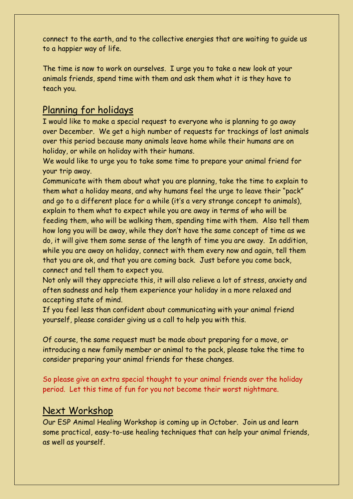connect to the earth, and to the collective energies that are waiting to guide us to a happier way of life.

The time is now to work on ourselves. I urge you to take a new look at your animals friends, spend time with them and ask them what it is they have to teach you.

## Planning for holidays

I would like to make a special request to everyone who is planning to go away over December. We get a high number of requests for trackings of lost animals over this period because many animals leave home while their humans are on holiday, or while on holiday with their humans.

We would like to urge you to take some time to prepare your animal friend for your trip away.

Communicate with them about what you are planning, take the time to explain to them what a holiday means, and why humans feel the urge to leave their "pack" and go to a different place for a while (it's a very strange concept to animals), explain to them what to expect while you are away in terms of who will be feeding them, who will be walking them, spending time with them. Also tell them how long you will be away, while they don't have the same concept of time as we do, it will give them some sense of the length of time you are away. In addition, while you are away on holiday, connect with them every now and again, tell them that you are ok, and that you are coming back. Just before you come back, connect and tell them to expect you.

Not only will they appreciate this, it will also relieve a lot of stress, anxiety and often sadness and help them experience your holiday in a more relaxed and accepting state of mind.

If you feel less than confident about communicating with your animal friend yourself, please consider giving us a call to help you with this.

Of course, the same request must be made about preparing for a move, or introducing a new family member or animal to the pack, please take the time to consider preparing your animal friends for these changes.

So please give an extra special thought to your animal friends over the holiday period. Let this time of fun for you not become their worst nightmare.

### Next Workshop

Our ESP Animal Healing Workshop is coming up in October. Join us and learn some practical, easy-to-use healing techniques that can help your animal friends, as well as yourself.